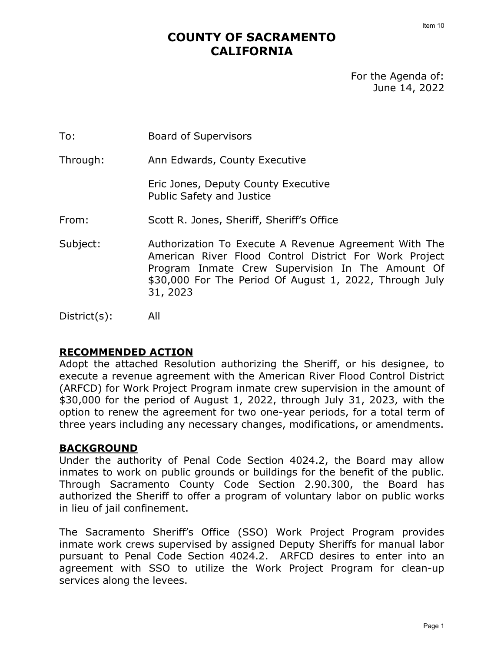# **COUNTY OF SACRAMENTO CALIFORNIA**

For the Agenda of: June 14, 2022

To: Board of Supervisors

Through: Ann Edwards, County Executive

Eric Jones, Deputy County Executive Public Safety and Justice

- From: Scott R. Jones, Sheriff, Sheriff's Office
- Subject: Authorization To Execute A Revenue Agreement With The American River Flood Control District For Work Project Program Inmate Crew Supervision In The Amount Of \$30,000 For The Period Of August 1, 2022, Through July 31, 2023

District(s): All

# **RECOMMENDED ACTION**

Adopt the attached Resolution authorizing the Sheriff, or his designee, to execute a revenue agreement with the American River Flood Control District (ARFCD) for Work Project Program inmate crew supervision in the amount of \$30,000 for the period of August 1, 2022, through July 31, 2023, with the option to renew the agreement for two one-year periods, for a total term of three years including any necessary changes, modifications, or amendments.

#### **BACKGROUND**

Under the authority of Penal Code Section 4024.2, the Board may allow inmates to work on public grounds or buildings for the benefit of the public. Through Sacramento County Code Section 2.90.300, the Board has authorized the Sheriff to offer a program of voluntary labor on public works in lieu of jail confinement.

The Sacramento Sheriff's Office (SSO) Work Project Program provides inmate work crews supervised by assigned Deputy Sheriffs for manual labor pursuant to Penal Code Section 4024.2. ARFCD desires to enter into an agreement with SSO to utilize the Work Project Program for clean-up services along the levees.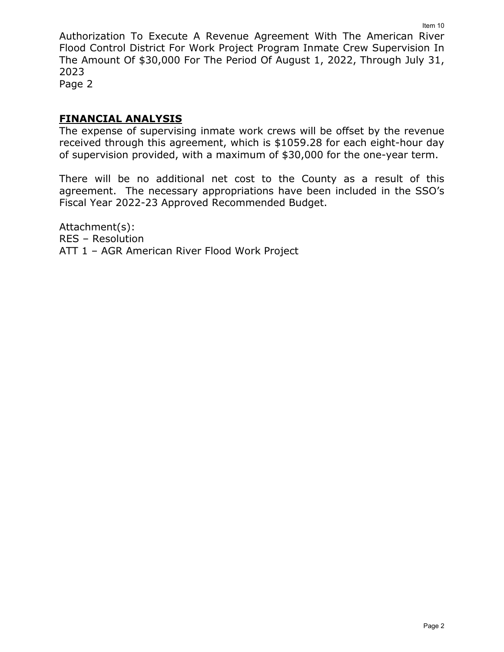Authorization To Execute A Revenue Agreement With The American River Flood Control District For Work Project Program Inmate Crew Supervision In The Amount Of \$30,000 For The Period Of August 1, 2022, Through July 31, 2023 Item 10

Page 2

# **FINANCIAL ANALYSIS**

The expense of supervising inmate work crews will be offset by the revenue received through this agreement, which is \$1059.28 for each eight-hour day of supervision provided, with a maximum of \$30,000 for the one-year term.

There will be no additional net cost to the County as a result of this agreement. The necessary appropriations have been included in the SSO's Fiscal Year 2022-23 Approved Recommended Budget.

Attachment(s): RES – Resolution ATT 1 – AGR American River Flood Work Project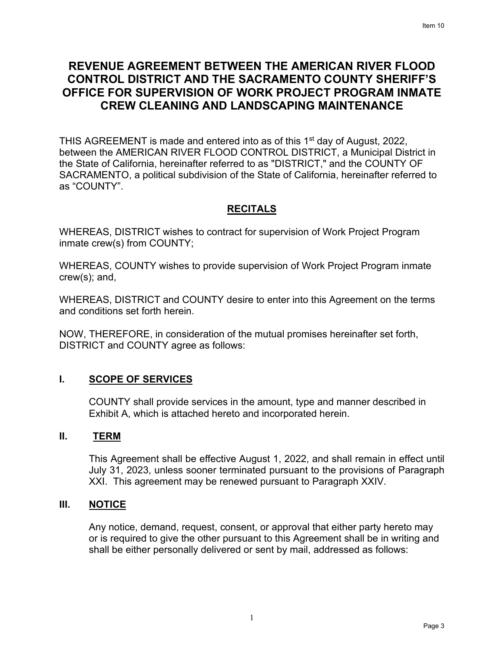# **REVENUE AGREEMENT BETWEEN THE AMERICAN RIVER FLOOD CONTROL DISTRICT AND THE SACRAMENTO COUNTY SHERIFF'S OFFICE FOR SUPERVISION OF WORK PROJECT PROGRAM INMATE CREW CLEANING AND LANDSCAPING MAINTENANCE**

THIS AGREEMENT is made and entered into as of this 1<sup>st</sup> day of August, 2022, between the AMERICAN RIVER FLOOD CONTROL DISTRICT, a Municipal District in the State of California, hereinafter referred to as "DISTRICT," and the COUNTY OF SACRAMENTO, a political subdivision of the State of California, hereinafter referred to as "COUNTY".

# **RECITALS**

WHEREAS, DISTRICT wishes to contract for supervision of Work Project Program inmate crew(s) from COUNTY;

WHEREAS, COUNTY wishes to provide supervision of Work Project Program inmate crew(s); and,

WHEREAS, DISTRICT and COUNTY desire to enter into this Agreement on the terms and conditions set forth herein.

NOW, THEREFORE, in consideration of the mutual promises hereinafter set forth, DISTRICT and COUNTY agree as follows:

# **I. SCOPE OF SERVICES**

COUNTY shall provide services in the amount, type and manner described in Exhibit A, which is attached hereto and incorporated herein.

# **II. TERM**

This Agreement shall be effective August 1, 2022, and shall remain in effect until July 31, 2023, unless sooner terminated pursuant to the provisions of Paragraph XXI. This agreement may be renewed pursuant to Paragraph XXIV.

# **III. NOTICE**

Any notice, demand, request, consent, or approval that either party hereto may or is required to give the other pursuant to this Agreement shall be in writing and shall be either personally delivered or sent by mail, addressed as follows: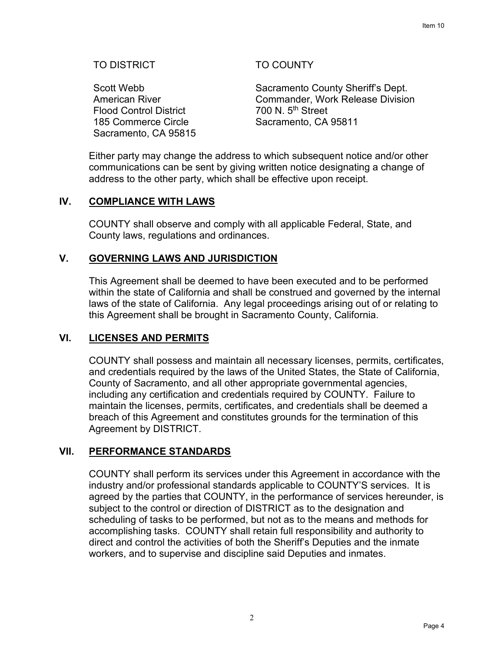## TO DISTRICT

Scott Webb American River Flood Control District 185 Commerce Circle Sacramento, CA 95815

## TO COUNTY

Sacramento County Sheriff's Dept. Commander, Work Release Division 700 N. 5th Street Sacramento, CA 95811

Either party may change the address to which subsequent notice and/or other communications can be sent by giving written notice designating a change of address to the other party, which shall be effective upon receipt.

#### **IV. COMPLIANCE WITH LAWS**

COUNTY shall observe and comply with all applicable Federal, State, and County laws, regulations and ordinances.

#### **V. GOVERNING LAWS AND JURISDICTION**

This Agreement shall be deemed to have been executed and to be performed within the state of California and shall be construed and governed by the internal laws of the state of California. Any legal proceedings arising out of or relating to this Agreement shall be brought in Sacramento County, California.

#### **VI. LICENSES AND PERMITS**

COUNTY shall possess and maintain all necessary licenses, permits, certificates, and credentials required by the laws of the United States, the State of California, County of Sacramento, and all other appropriate governmental agencies, including any certification and credentials required by COUNTY. Failure to maintain the licenses, permits, certificates, and credentials shall be deemed a breach of this Agreement and constitutes grounds for the termination of this Agreement by DISTRICT.

#### **VII. PERFORMANCE STANDARDS**

COUNTY shall perform its services under this Agreement in accordance with the industry and/or professional standards applicable to COUNTY'S services. It is agreed by the parties that COUNTY, in the performance of services hereunder, is subject to the control or direction of DISTRICT as to the designation and scheduling of tasks to be performed, but not as to the means and methods for accomplishing tasks. COUNTY shall retain full responsibility and authority to direct and control the activities of both the Sheriff's Deputies and the inmate workers, and to supervise and discipline said Deputies and inmates.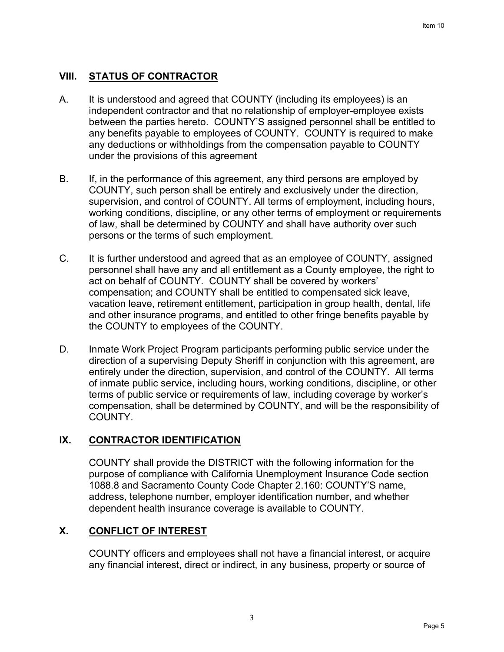# **VIII. STATUS OF CONTRACTOR**

- A. It is understood and agreed that COUNTY (including its employees) is an independent contractor and that no relationship of employer-employee exists between the parties hereto. COUNTY'S assigned personnel shall be entitled to any benefits payable to employees of COUNTY. COUNTY is required to make any deductions or withholdings from the compensation payable to COUNTY under the provisions of this agreement
- B. If, in the performance of this agreement, any third persons are employed by COUNTY, such person shall be entirely and exclusively under the direction, supervision, and control of COUNTY. All terms of employment, including hours, working conditions, discipline, or any other terms of employment or requirements of law, shall be determined by COUNTY and shall have authority over such persons or the terms of such employment.
- C. It is further understood and agreed that as an employee of COUNTY, assigned personnel shall have any and all entitlement as a County employee, the right to act on behalf of COUNTY. COUNTY shall be covered by workers' compensation; and COUNTY shall be entitled to compensated sick leave, vacation leave, retirement entitlement, participation in group health, dental, life and other insurance programs, and entitled to other fringe benefits payable by the COUNTY to employees of the COUNTY.
- D. Inmate Work Project Program participants performing public service under the direction of a supervising Deputy Sheriff in conjunction with this agreement, are entirely under the direction, supervision, and control of the COUNTY. All terms of inmate public service, including hours, working conditions, discipline, or other terms of public service or requirements of law, including coverage by worker's compensation, shall be determined by COUNTY, and will be the responsibility of COUNTY.

# **IX. CONTRACTOR IDENTIFICATION**

COUNTY shall provide the DISTRICT with the following information for the purpose of compliance with California Unemployment Insurance Code section 1088.8 and Sacramento County Code Chapter 2.160: COUNTY'S name, address, telephone number, employer identification number, and whether dependent health insurance coverage is available to COUNTY.

## **X. CONFLICT OF INTEREST**

COUNTY officers and employees shall not have a financial interest, or acquire any financial interest, direct or indirect, in any business, property or source of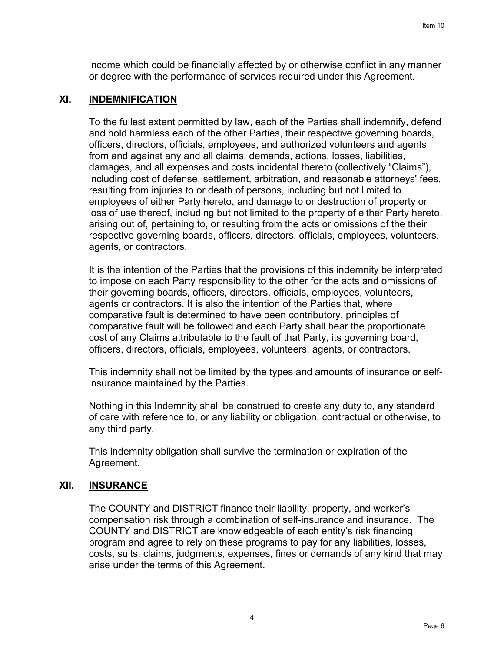income which could be financially affected by or otherwise conflict in any manner or degree with the performance of services required under this Agreement.

#### **XI. INDEMNIFICATION**

To the fullest extent permitted by law, each of the Parties shall indemnify, defend and hold harmless each of the other Parties, their respective governing boards, officers, directors, officials, employees, and authorized volunteers and agents from and against any and all claims, demands, actions, losses, liabilities, damages, and all expenses and costs incidental thereto (collectively "Claims"), including cost of defense, settlement, arbitration, and reasonable attorneys' fees, resulting from injuries to or death of persons, including but not limited to employees of either Party hereto, and damage to or destruction of property or loss of use thereof, including but not limited to the property of either Party hereto, arising out of, pertaining to, or resulting from the acts or omissions of the their respective governing boards, officers, directors, officials, employees, volunteers, agents, or contractors.

It is the intention of the Parties that the provisions of this indemnity be interpreted to impose on each Party responsibility to the other for the acts and omissions of their governing boards, officers, directors, officials, employees, volunteers, agents or contractors. It is also the intention of the Parties that, where comparative fault is determined to have been contributory, principles of comparative fault will be followed and each Party shall bear the proportionate cost of any Claims attributable to the fault of that Party, its governing board, officers, directors, officials, employees, volunteers, agents, or contractors.

This indemnity shall not be limited by the types and amounts of insurance or selfinsurance maintained by the Parties.

Nothing in this Indemnity shall be construed to create any duty to, any standard of care with reference to, or any liability or obligation, contractual or otherwise, to any third party.

This indemnity obligation shall survive the termination or expiration of the Agreement.

#### **XII. INSURANCE**

The COUNTY and DISTRICT finance their liability, property, and worker's compensation risk through a combination of self-insurance and insurance. The COUNTY and DISTRICT are knowledgeable of each entity's risk financing program and agree to rely on these programs to pay for any liabilities, losses, costs, suits, claims, judgments, expenses, fines or demands of any kind that may arise under the terms of this Agreement.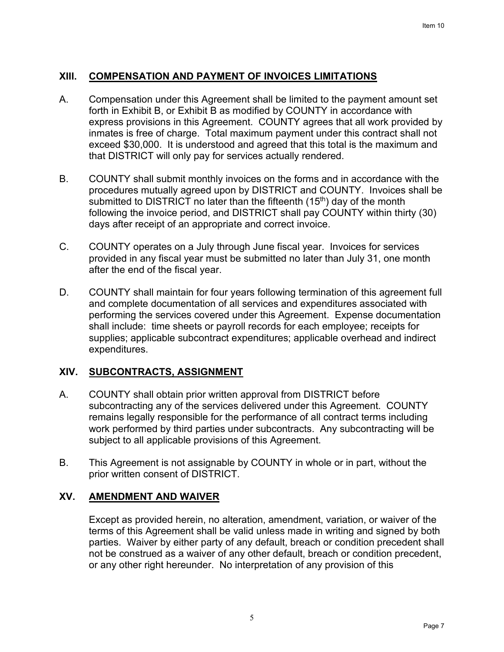## **XIII. COMPENSATION AND PAYMENT OF INVOICES LIMITATIONS**

- A. Compensation under this Agreement shall be limited to the payment amount set forth in Exhibit B, or Exhibit B as modified by COUNTY in accordance with express provisions in this Agreement. COUNTY agrees that all work provided by inmates is free of charge. Total maximum payment under this contract shall not exceed \$30,000. It is understood and agreed that this total is the maximum and that DISTRICT will only pay for services actually rendered.
- B. COUNTY shall submit monthly invoices on the forms and in accordance with the procedures mutually agreed upon by DISTRICT and COUNTY. Invoices shall be submitted to DISTRICT no later than the fifteenth  $(15<sup>th</sup>)$  day of the month following the invoice period, and DISTRICT shall pay COUNTY within thirty (30) days after receipt of an appropriate and correct invoice.
- C. COUNTY operates on a July through June fiscal year. Invoices for services provided in any fiscal year must be submitted no later than July 31, one month after the end of the fiscal year.
- D. COUNTY shall maintain for four years following termination of this agreement full and complete documentation of all services and expenditures associated with performing the services covered under this Agreement. Expense documentation shall include: time sheets or payroll records for each employee; receipts for supplies; applicable subcontract expenditures; applicable overhead and indirect expenditures.

#### **XIV. SUBCONTRACTS, ASSIGNMENT**

- A. COUNTY shall obtain prior written approval from DISTRICT before subcontracting any of the services delivered under this Agreement. COUNTY remains legally responsible for the performance of all contract terms including work performed by third parties under subcontracts. Any subcontracting will be subject to all applicable provisions of this Agreement.
- B. This Agreement is not assignable by COUNTY in whole or in part, without the prior written consent of DISTRICT.

#### **XV. AMENDMENT AND WAIVER**

Except as provided herein, no alteration, amendment, variation, or waiver of the terms of this Agreement shall be valid unless made in writing and signed by both parties. Waiver by either party of any default, breach or condition precedent shall not be construed as a waiver of any other default, breach or condition precedent, or any other right hereunder. No interpretation of any provision of this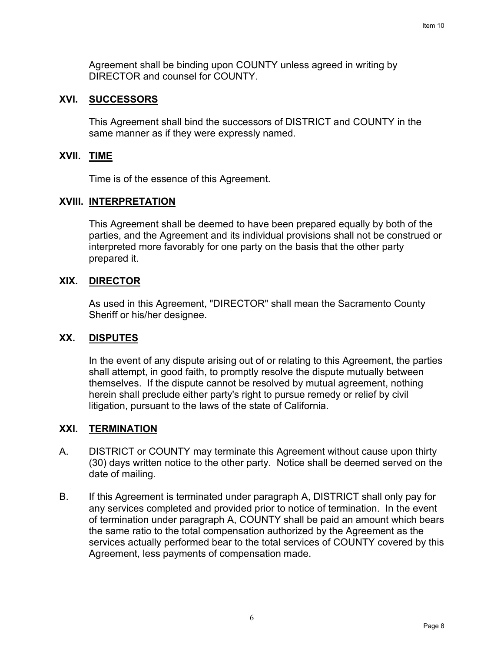Agreement shall be binding upon COUNTY unless agreed in writing by DIRECTOR and counsel for COUNTY.

#### **XVI. SUCCESSORS**

This Agreement shall bind the successors of DISTRICT and COUNTY in the same manner as if they were expressly named.

#### **XVII. TIME**

Time is of the essence of this Agreement.

#### **XVIII. INTERPRETATION**

This Agreement shall be deemed to have been prepared equally by both of the parties, and the Agreement and its individual provisions shall not be construed or interpreted more favorably for one party on the basis that the other party prepared it.

#### **XIX. DIRECTOR**

As used in this Agreement, "DIRECTOR" shall mean the Sacramento County Sheriff or his/her designee.

#### **XX. DISPUTES**

In the event of any dispute arising out of or relating to this Agreement, the parties shall attempt, in good faith, to promptly resolve the dispute mutually between themselves. If the dispute cannot be resolved by mutual agreement, nothing herein shall preclude either party's right to pursue remedy or relief by civil litigation, pursuant to the laws of the state of California.

#### **XXI. TERMINATION**

- A. DISTRICT or COUNTY may terminate this Agreement without cause upon thirty (30) days written notice to the other party. Notice shall be deemed served on the date of mailing.
- B. If this Agreement is terminated under paragraph A, DISTRICT shall only pay for any services completed and provided prior to notice of termination. In the event of termination under paragraph A, COUNTY shall be paid an amount which bears the same ratio to the total compensation authorized by the Agreement as the services actually performed bear to the total services of COUNTY covered by this Agreement, less payments of compensation made.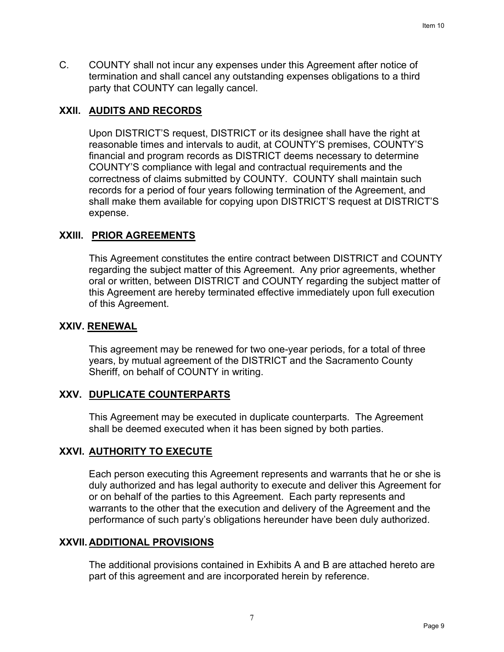C. COUNTY shall not incur any expenses under this Agreement after notice of termination and shall cancel any outstanding expenses obligations to a third party that COUNTY can legally cancel.

# **XXII. AUDITS AND RECORDS**

Upon DISTRICT'S request, DISTRICT or its designee shall have the right at reasonable times and intervals to audit, at COUNTY'S premises, COUNTY'S financial and program records as DISTRICT deems necessary to determine COUNTY'S compliance with legal and contractual requirements and the correctness of claims submitted by COUNTY. COUNTY shall maintain such records for a period of four years following termination of the Agreement, and shall make them available for copying upon DISTRICT'S request at DISTRICT'S expense.

#### **XXIII. PRIOR AGREEMENTS**

This Agreement constitutes the entire contract between DISTRICT and COUNTY regarding the subject matter of this Agreement. Any prior agreements, whether oral or written, between DISTRICT and COUNTY regarding the subject matter of this Agreement are hereby terminated effective immediately upon full execution of this Agreement.

## **XXIV. RENEWAL**

This agreement may be renewed for two one-year periods, for a total of three years, by mutual agreement of the DISTRICT and the Sacramento County Sheriff, on behalf of COUNTY in writing.

#### **XXV. DUPLICATE COUNTERPARTS**

This Agreement may be executed in duplicate counterparts. The Agreement shall be deemed executed when it has been signed by both parties.

# **XXVI. AUTHORITY TO EXECUTE**

Each person executing this Agreement represents and warrants that he or she is duly authorized and has legal authority to execute and deliver this Agreement for or on behalf of the parties to this Agreement. Each party represents and warrants to the other that the execution and delivery of the Agreement and the performance of such party's obligations hereunder have been duly authorized.

#### **XXVII. ADDITIONAL PROVISIONS**

The additional provisions contained in Exhibits A and B are attached hereto are part of this agreement and are incorporated herein by reference.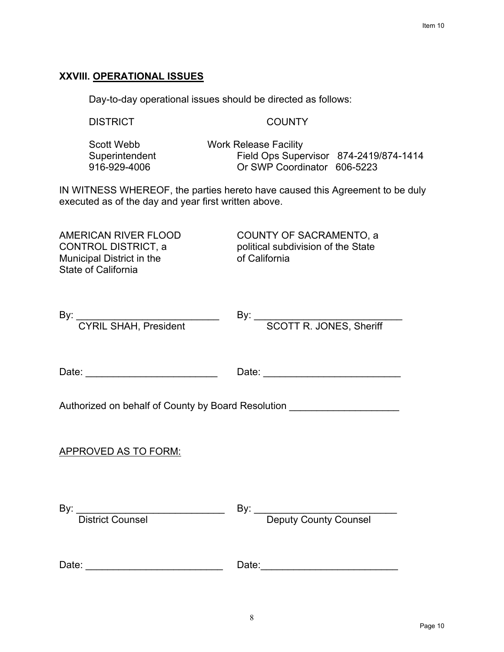# **XXVIII. OPERATIONAL ISSUES**

Day-to-day operational issues should be directed as follows:

DISTRICT COUNTY

| Scott Webb     | <b>Work Release Facility</b>           |  |
|----------------|----------------------------------------|--|
| Superintendent | Field Ops Supervisor 874-2419/874-1414 |  |
| 916-929-4006   | Or SWP Coordinator 606-5223            |  |

IN WITNESS WHEREOF, the parties hereto have caused this Agreement to be duly executed as of the day and year first written above.

Municipal District in the State of California

AMERICAN RIVER FLOOD COUNTY OF SACRAMENTO, a CONTROL DISTRICT, a political subdivision of the State<br>
Municipal District in the of California

| By: CYRIL SHAH, President By                                               | By: SCOTT R. JONES, Sheriff |
|----------------------------------------------------------------------------|-----------------------------|
|                                                                            |                             |
|                                                                            |                             |
|                                                                            |                             |
| Authorized on behalf of County by Board Resolution _______________________ |                             |
| <b>APPROVED AS TO FORM:</b>                                                |                             |
|                                                                            |                             |
|                                                                            |                             |
| By: District Counsel                                                       | By: Deputy County Counsel   |
|                                                                            |                             |
|                                                                            |                             |
|                                                                            | Date:                       |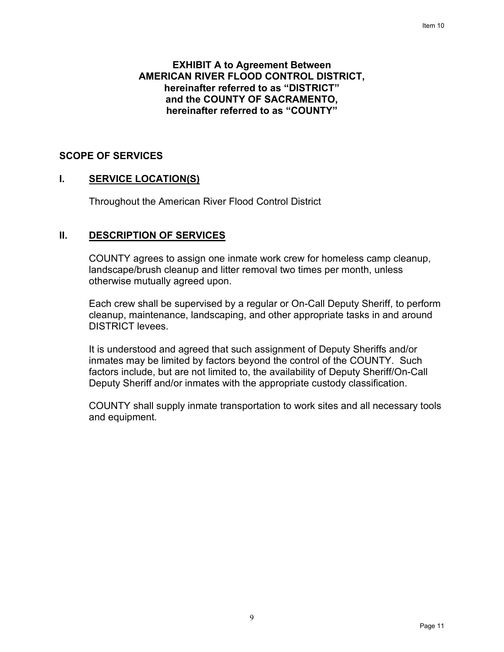#### **EXHIBIT A to Agreement Between AMERICAN RIVER FLOOD CONTROL DISTRICT, hereinafter referred to as "DISTRICT" and the COUNTY OF SACRAMENTO, hereinafter referred to as "COUNTY"**

#### **SCOPE OF SERVICES**

#### **I. SERVICE LOCATION(S)**

Throughout the American River Flood Control District

#### **II. DESCRIPTION OF SERVICES**

COUNTY agrees to assign one inmate work crew for homeless camp cleanup, landscape/brush cleanup and litter removal two times per month, unless otherwise mutually agreed upon.

Each crew shall be supervised by a regular or On-Call Deputy Sheriff, to perform cleanup, maintenance, landscaping, and other appropriate tasks in and around DISTRICT levees.

It is understood and agreed that such assignment of Deputy Sheriffs and/or inmates may be limited by factors beyond the control of the COUNTY. Such factors include, but are not limited to, the availability of Deputy Sheriff/On-Call Deputy Sheriff and/or inmates with the appropriate custody classification.

COUNTY shall supply inmate transportation to work sites and all necessary tools and equipment.